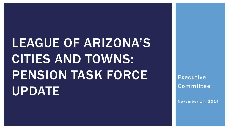# LEAGUE OF ARIZONA'S CITIES AND TOWNS: PENSION TASK FORCE UPDATE

Executive Committee

November 14, 2014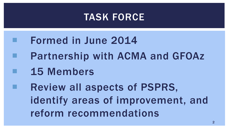#### TASK FORCE

 Formed in June 2014 Partnership with ACMA and GFOAz 15 Members Review all aspects of PSPRS, identify areas of improvement, and reform recommendations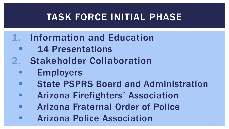### TASK FORCE INITIAL PHASE

- 1. Information and Education
	- 14 Presentations
- 2. Stakeholder Collaboration
	- Employers
	- State PSPRS Board and Administration
	- Arizona Firefighters' Association
	- Arizona Fraternal Order of Police
	- Arizona Police Association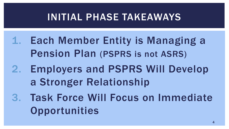### INITIAL PHASE TAKEAWAYS

- 1. Each Member Entity is Managing a Pension Plan (PSPRS is not ASRS)
- 2. Employers and PSPRS Will Develop a Stronger Relationship
- 3. Task Force Will Focus on Immediate **Opportunities**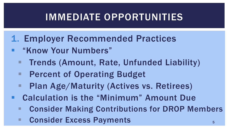### IMMEDIATE OPPORTUNITIES

- 1. Employer Recommended Practices
- **" "Know Your Numbers"** 
	- **Trends (Amount, Rate, Unfunded Liability)**
	- **Percent of Operating Budget**
	- **Plan Age/Maturity (Actives vs. Retirees)**
- Calculation is the "Minimum" Amount Due
	- Consider Making Contributions for DROP Members
	- **Excess Payments**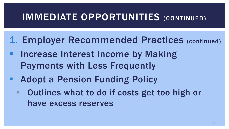### IMMEDIATE OPPORTUNITIES (CONTINUED)

- 1. Employer Recommended Practices (continued)
- Increase Interest Income by Making Payments with Less Frequently
- **Adopt a Pension Funding Policy** 
	- Outlines what to do if costs get too high or have excess reserves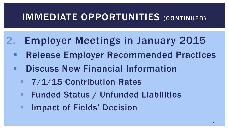### IMMEDIATE OPPORTUNITIES (CONTINUED)

- 2. Employer Meetings in January 2015
	- Release Employer Recommended Practices
	- **E.** Discuss New Financial Information
		- **7/1/15 Contribution Rates**
		- Funded Status / Unfunded Liabilities
		- **Impact of Fields' Decision**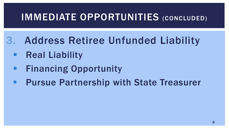### IMMEDIATE OPPORTUNITIES (CONCLUDED)

- 3. Address Retiree Unfunded Liability
	- Real Liability
	- Financing Opportunity
	- Pursue Partnership with State Treasurer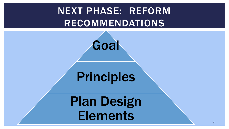### NEXT PHASE: REFORM RECOMMENDATIONS



### Principles

Plan Design **Elements**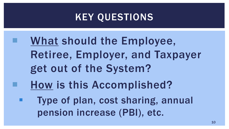### KEY QUESTIONS

- What should the Employee, Retiree, Employer, and Taxpayer get out of the System?
- How is this Accomplished?
- Type of plan, cost sharing, annual pension increase (PBI), etc.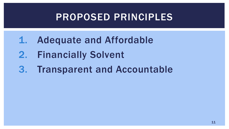### PROPOSED PRINCIPLES

- 1. Adequate and Affordable
- 2. Financially Solvent
- 3. Transparent and Accountable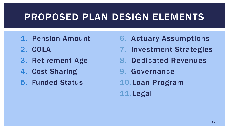### PROPOSED PLAN DESIGN ELEMENTS

- 1. Pension Amount
- 2. COLA
- 3. Retirement Age
- 4. Cost Sharing
- 5. Funded Status
- 6. Actuary Assumptions
- 7. Investment Strategies
- 8. Dedicated Revenues
- 9. Governance
- 10.Loan Program

11.Legal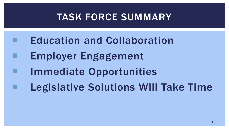### TASK FORCE SUMMARY

 Education and Collaboration Employer Engagement Immediate Opportunities Legislative Solutions Will Take Time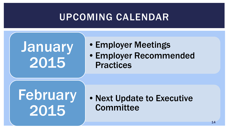### UPCOMING CALENDAR

# **January** 2015

- •Employer Meetings
- •Employer Recommended Practices

# **February** 2015

• Next Update to Executive **Committee**